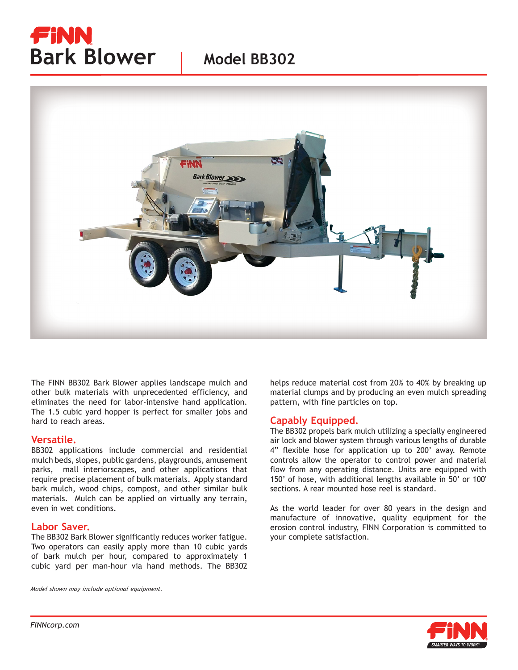# FiNN **Bark Blower** | Model BB302



The FINN BB302 Bark Blower applies landscape mulch and other bulk materials with unprecedented efficiency, and eliminates the need for labor-intensive hand application. The 1.5 cubic yard hopper is perfect for smaller jobs and hard to reach areas.

#### **Versatile.**

BB302 applications include commercial and residential mulch beds, slopes, public gardens, playgrounds, amusement parks, mall interiorscapes, and other applications that require precise placement of bulk materials. Apply standard bark mulch, wood chips, compost, and other similar bulk materials. Mulch can be applied on virtually any terrain, even in wet conditions.

#### **Labor Saver.**

The BB302 Bark Blower significantly reduces worker fatigue. Two operators can easily apply more than 10 cubic yards of bark mulch per hour, compared to approximately 1 cubic yard per man-hour via hand methods. The BB302

*Model shown may include optional equipment.*

helps reduce material cost from 20% to 40% by breaking up material clumps and by producing an even mulch spreading pattern, with fine particles on top.

### **Capably Equipped.**

The BB302 propels bark mulch utilizing a specially engineered air lock and blower system through various lengths of durable 4" flexible hose for application up to 200' away. Remote controls allow the operator to control power and material flow from any operating distance. Units are equipped with 150' of hose, with additional lengths available in 50' or 100' sections. A rear mounted hose reel is standard.

As the world leader for over 80 years in the design and manufacture of innovative, quality equipment for the erosion control industry, FINN Corporation is committed to your complete satisfaction.